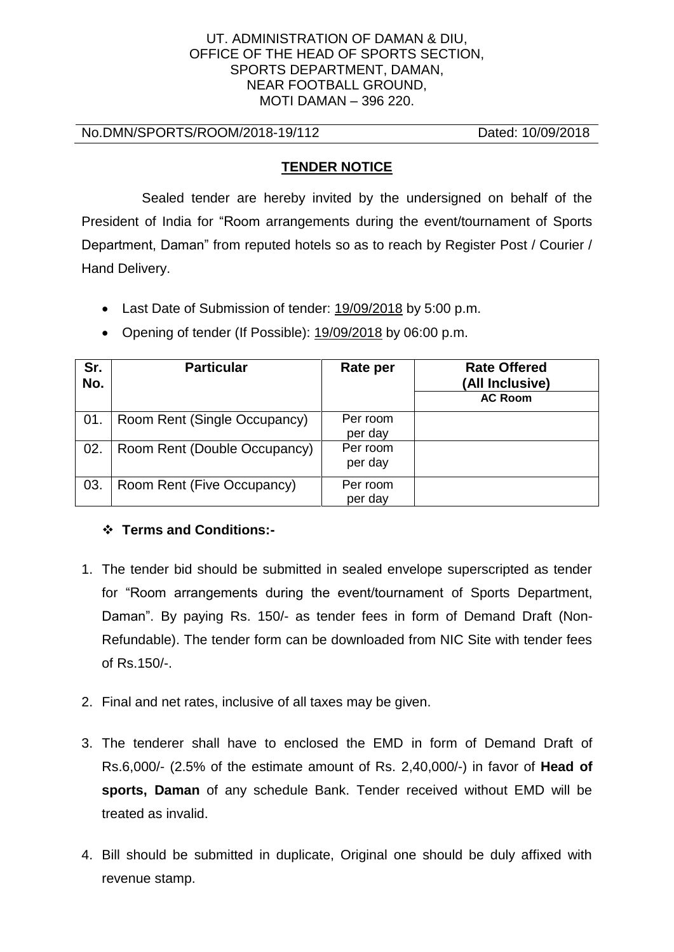#### UT. ADMINISTRATION OF DAMAN & DIU, OFFICE OF THE HEAD OF SPORTS SECTION, SPORTS DEPARTMENT, DAMAN, NEAR FOOTBALL GROUND, MOTI DAMAN – 396 220.

No.DMN/SPORTS/ROOM/2018-19/112 Dated: 10/09/2018

### **TENDER NOTICE**

 Sealed tender are hereby invited by the undersigned on behalf of the President of India for "Room arrangements during the event/tournament of Sports Department, Daman" from reputed hotels so as to reach by Register Post / Courier / Hand Delivery.

• Last Date of Submission of tender: 19/09/2018 by 5:00 p.m.

| Sr.<br>No. | <b>Particular</b>            | Rate per            | <b>Rate Offered</b><br>(All Inclusive)<br><b>AC Room</b> |
|------------|------------------------------|---------------------|----------------------------------------------------------|
| 01.        | Room Rent (Single Occupancy) | Per room<br>per day |                                                          |
| 02.        | Room Rent (Double Occupancy) | Per room<br>per day |                                                          |

• Opening of tender (If Possible): 19/09/2018 by 06:00 p.m.

# ❖ **Terms and Conditions:-**

03. Room Rent (Five Occupancy) Per room

1. The tender bid should be submitted in sealed envelope superscripted as tender for "Room arrangements during the event/tournament of Sports Department, Daman". By paying Rs. 150/- as tender fees in form of Demand Draft (Non-Refundable). The tender form can be downloaded from NIC Site with tender fees of Rs.150/-.

per day

- 2. Final and net rates, inclusive of all taxes may be given.
- 3. The tenderer shall have to enclosed the EMD in form of Demand Draft of Rs.6,000/- (2.5% of the estimate amount of Rs. 2,40,000/-) in favor of **Head of sports, Daman** of any schedule Bank. Tender received without EMD will be treated as invalid.
- 4. Bill should be submitted in duplicate, Original one should be duly affixed with revenue stamp.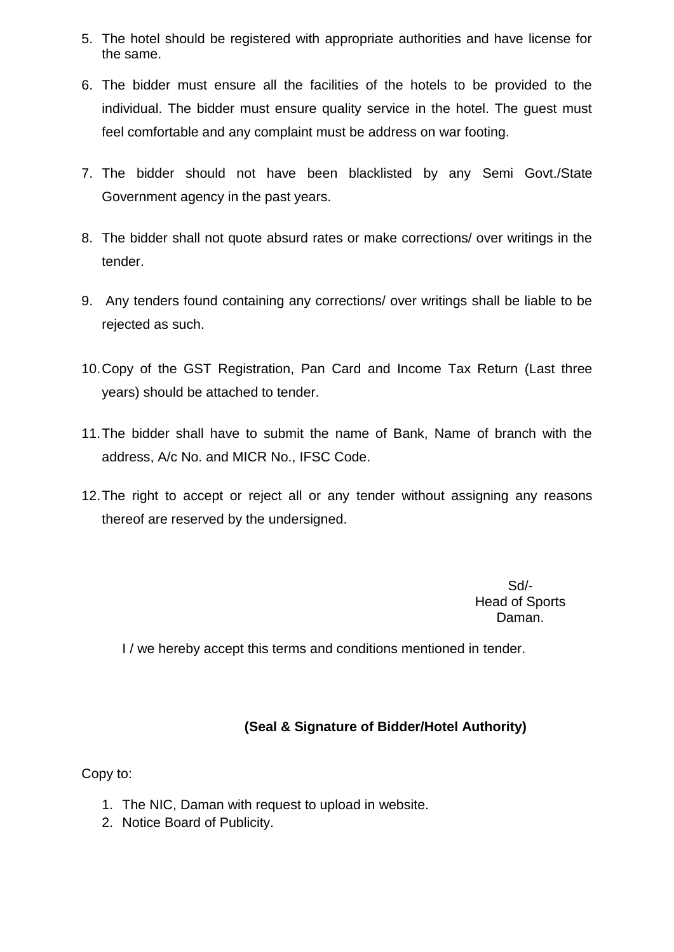- 5. The hotel should be registered with appropriate authorities and have license for the same.
- 6. The bidder must ensure all the facilities of the hotels to be provided to the individual. The bidder must ensure quality service in the hotel. The guest must feel comfortable and any complaint must be address on war footing.
- 7. The bidder should not have been blacklisted by any Semi Govt./State Government agency in the past years.
- 8. The bidder shall not quote absurd rates or make corrections/ over writings in the tender.
- 9. Any tenders found containing any corrections/ over writings shall be liable to be rejected as such.
- 10.Copy of the GST Registration, Pan Card and Income Tax Return (Last three years) should be attached to tender.
- 11.The bidder shall have to submit the name of Bank, Name of branch with the address, A/c No. and MICR No., IFSC Code.
- 12.The right to accept or reject all or any tender without assigning any reasons thereof are reserved by the undersigned.

Sd/- Head of Sports Daman.

I / we hereby accept this terms and conditions mentioned in tender.

## **(Seal & Signature of Bidder/Hotel Authority)**

Copy to:

- 1. The NIC, Daman with request to upload in website.
- 2. Notice Board of Publicity.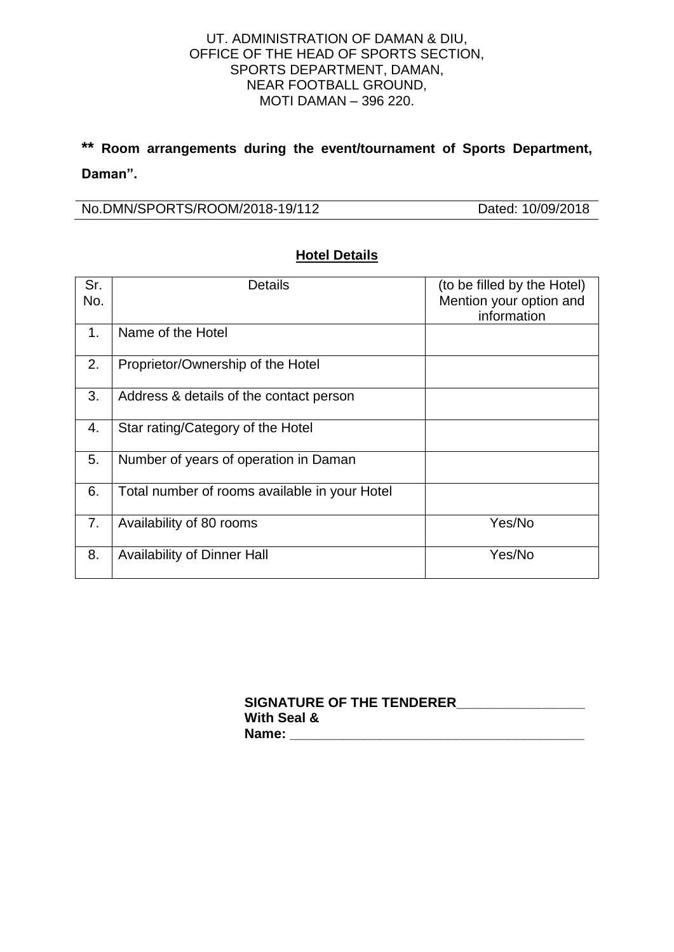### UT. ADMINISTRATION OF DAMAN & DIU, OFFICE OF THE HEAD OF SPORTS SECTION, SPORTS DEPARTMENT, DAMAN, NEAR FOOTBALL GROUND, MOTI DAMAN – 396 220.

# **\*\* Room arrangements during the event/tournament of Sports Department, Daman".**

No.DMN/SPORTS/ROOM/2018-19/112 Dated: 10/09/2018

| Sr.<br>No.     | <b>Details</b>                                | (to be filled by the Hotel)<br>Mention your option and<br>information |
|----------------|-----------------------------------------------|-----------------------------------------------------------------------|
| 1 <sub>1</sub> | Name of the Hotel                             |                                                                       |
| 2.             | Proprietor/Ownership of the Hotel             |                                                                       |
| 3.             | Address & details of the contact person       |                                                                       |
| 4.             | Star rating/Category of the Hotel             |                                                                       |
| 5.             | Number of years of operation in Daman         |                                                                       |
| 6.             | Total number of rooms available in your Hotel |                                                                       |
| 7.             | Availability of 80 rooms                      | Yes/No                                                                |
| 8.             | <b>Availability of Dinner Hall</b>            | Yes/No                                                                |

## **Hotel Details**

**SIGNATURE OF THE TENDERER\_\_\_\_\_\_\_\_\_\_\_\_\_\_\_\_\_ With Seal & Name: \_\_\_\_\_\_\_\_\_\_\_\_\_\_\_\_\_\_\_\_\_\_\_\_\_\_\_\_\_\_\_\_\_\_\_\_\_\_\_**